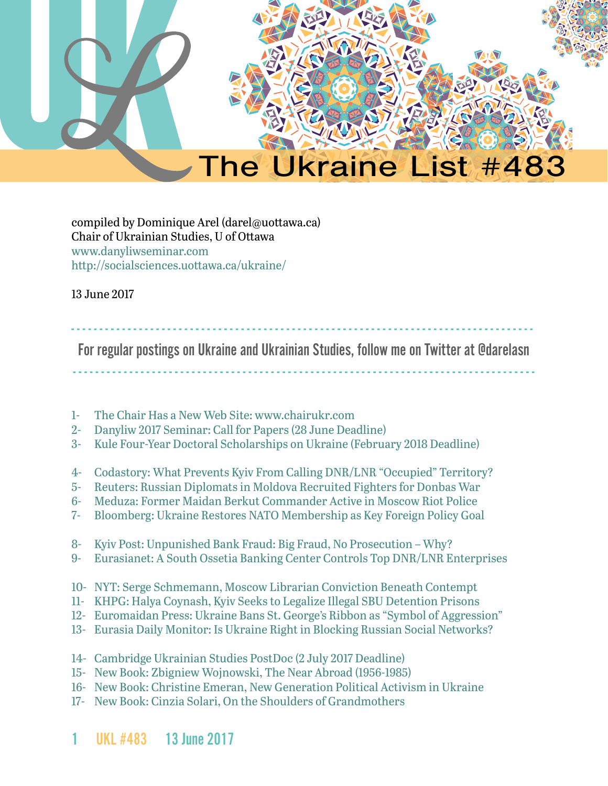

### compiled by Dominique Arel (darel@uottawa.ca) Chair of Ukrainian Studies, U of Ottawa [www.danyliwseminar.com](http://www.danyliwseminar.com) <http://socialsciences.uottawa.ca/ukraine/>

13 June 2017

<span id="page-0-0"></span>- - - - - - - - - - - - - - - - - - - - - - - - - - - - - - - - - - - - - - - - - - - - - - - - - - - - - - - - - - - - - - - - - - - - - - - - - - - - - - - - - - For regular postings on Ukraine and Ukrainian Studies, follow me on Twitter at @darelasn

- - - - - - - - - - - - - - - - - - - - - - - - - - - - - - - - - - - - - - - - - - - - - - - - - - - - - - - - - - - - - - - - - - - - - - - - - - - - - - - - - -

- 1- [The Chair Has a New Web Site: www.chairukr.com](#page-1-0)
- 2- [Danyliw 2017 Seminar: Call for Papers \(28 June Deadline\)](#page-1-1)
- 3- [Kule Four-Year Doctoral Scholarships on Ukraine \(February 2018 Deadline\)](#page-3-0)
- 4- [Codastory: What Prevents Kyiv From Calling DNR/LNR "Occupied" Territory?](#page-4-0)
- 5- [Reuters: Russian Diplomats in Moldova Recruited Fighters for Donbas War](#page-6-0)
- 6- [Meduza: Former Maidan Berkut Commander Active in Moscow Riot Police](#page-8-0)
- 7- [Bloomberg: Ukraine Restores NATO Membership as Key Foreign Policy Goal](#page-9-0)
- 8- [Kyiv Post: Unpunished Bank Fraud: Big Fraud, No Prosecution Why?](#page-10-0)
- 9- Eurasianet: A South Ossetia Banking Center Controls Top DNR/LNR Enterprises
- 10- NYT: Serge Schmemann, Moscow Librarian Conviction Beneath Contempt
- 11- KHPG: Halya Coynash, Kyiv Seeks to Legalize Illegal SBU Detention Prisons
- 12- Euromaidan Press: Ukraine Bans St. George's Ribbon as "Symbol of Aggression"
- 13- Eurasia Daily Monitor: Is Ukraine Right in Blocking Russian Social Networks?
- 14- [Cambridge Ukrainian Studies PostDoc \(2 July 2017 Deadline\)](#page-23-0)
- 15- [New Book: Zbigniew Wojnowski, The Near Abroad \(1956-1985\)](#page-25-0)
- 16- [New Book: Christine Emeran, New Generation Political Activism in Ukraine](#page-25-1)
- 17- [New Book: Cinzia Solari, On the Shoulders of Grandmothers](#page-26-0)
- 1 UKL #483 13 June 2017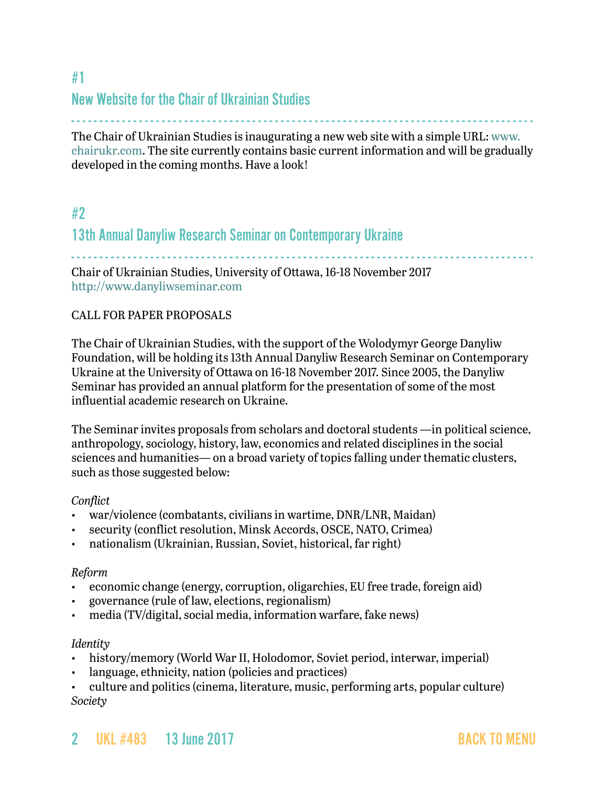# <span id="page-1-0"></span>#1 New Website for the Chair of Ukrainian Studies

- - - - - - - - - - - - - - - - - - - - - - - - - - - - - - - - - - - - - - - - - - - - - - - - - - - - - - - - - - - - - - - - - - - - - - - - - - - - - - - - - - The Chair of Ukrainian Studies is inaugurating a new web site with a simple URL: [www.](http://www.chairukr.com) [chairukr.com](http://www.chairukr.com). The site currently contains basic current information and will be gradually developed in the coming months. Have a look!

# <span id="page-1-1"></span>#2

# 13th Annual Danyliw Research Seminar on Contemporary Ukraine

- - - - - - - - - - - - - - - - - - - - - - - - - - - - - - - - - - - - - - - - - - - - - - - - - - - - - - - - - - - - - - - - - - - - - - - - - - - - - - - - - - Chair of Ukrainian Studies, University of Ottawa, 16-18 November 2017 <http://www.danyliwseminar.com>

## CALL FOR PAPER PROPOSALS

The Chair of Ukrainian Studies, with the support of the Wolodymyr George Danyliw Foundation, will be holding its 13th Annual Danyliw Research Seminar on Contemporary Ukraine at the University of Ottawa on 16-18 November 2017. Since 2005, the Danyliw Seminar has provided an annual platform for the presentation of some of the most influential academic research on Ukraine.

The Seminar invites proposals from scholars and doctoral students —in political science, anthropology, sociology, history, law, economics and related disciplines in the social sciences and humanities— on a broad variety of topics falling under thematic clusters, such as those suggested below:

### *Conflict*

- war/violence (combatants, civilians in wartime, DNR/LNR, Maidan)
- security (conflict resolution, Minsk Accords, OSCE, NATO, Crimea)
- nationalism (Ukrainian, Russian, Soviet, historical, far right)

### *Reform*

- economic change (energy, corruption, oligarchies, EU free trade, foreign aid)
- governance (rule of law, elections, regionalism)
- media (TV/digital, social media, information warfare, fake news)

### *Identity*

- history/memory (World War II, Holodomor, Soviet period, interwar, imperial)
- language, ethnicity, nation (policies and practices)
- culture and politics (cinema, literature, music, performing arts, popular culture) *Society*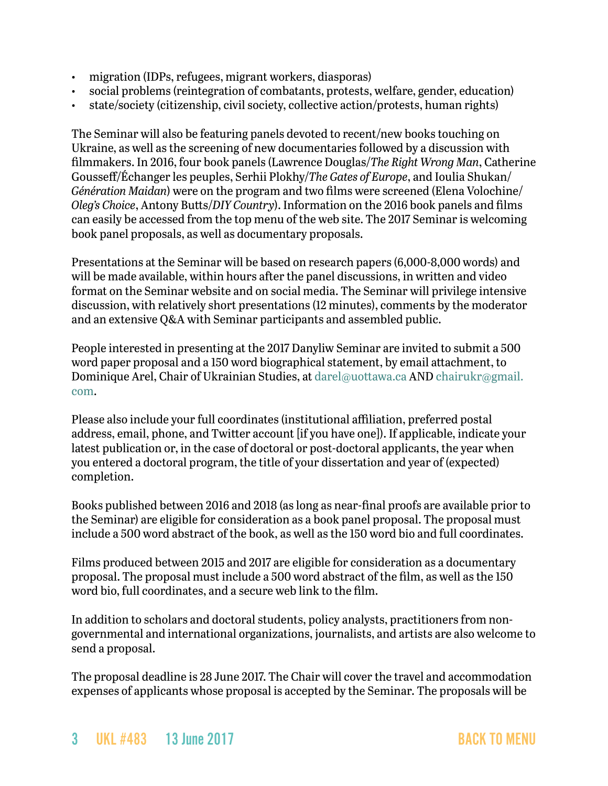- migration (IDPs, refugees, migrant workers, diasporas)
- social problems (reintegration of combatants, protests, welfare, gender, education)
- state/society (citizenship, civil society, collective action/protests, human rights)

The Seminar will also be featuring panels devoted to recent/new books touching on Ukraine, as well as the screening of new documentaries followed by a discussion with filmmakers. In 2016, four book panels (Lawrence Douglas/*The Right Wrong Man*, Catherine Gousseff/Échanger les peuples, Serhii Plokhy/*The Gates of Europe*, and Ioulia Shukan/ *Génération Maidan*) were on the program and two films were screened (Elena Volochine/ *Oleg's Choice*, Antony Butts/*DIY Country*). Information on the 2016 book panels and films can easily be accessed from the top menu of the web site. The 2017 Seminar is welcoming book panel proposals, as well as documentary proposals.

Presentations at the Seminar will be based on research papers (6,000-8,000 words) and will be made available, within hours after the panel discussions, in written and video format on the Seminar website and on social media. The Seminar will privilege intensive discussion, with relatively short presentations (12 minutes), comments by the moderator and an extensive Q&A with Seminar participants and assembled public.

People interested in presenting at the 2017 Danyliw Seminar are invited to submit a 500 word paper proposal and a 150 word biographical statement, by email attachment, to Dominique Arel, Chair of Ukrainian Studies, at [darel@uottawa.ca](mailto:darel@uottawa.ca) AND [chairukr@gmail.](mailto:chairukr@gmail.com) [com](mailto:chairukr@gmail.com).

Please also include your full coordinates (institutional affiliation, preferred postal address, email, phone, and Twitter account [if you have one]). If applicable, indicate your latest publication or, in the case of doctoral or post-doctoral applicants, the year when you entered a doctoral program, the title of your dissertation and year of (expected) completion.

Books published between 2016 and 2018 (as long as near-final proofs are available prior to the Seminar) are eligible for consideration as a book panel proposal. The proposal must include a 500 word abstract of the book, as well as the 150 word bio and full coordinates.

Films produced between 2015 and 2017 are eligible for consideration as a documentary proposal. The proposal must include a 500 word abstract of the film, as well as the 150 word bio, full coordinates, and a secure web link to the film.

In addition to scholars and doctoral students, policy analysts, practitioners from nongovernmental and international organizations, journalists, and artists are also welcome to send a proposal.

The proposal deadline is 28 June 2017. The Chair will cover the travel and accommodation expenses of applicants whose proposal is accepted by the Seminar. The proposals will be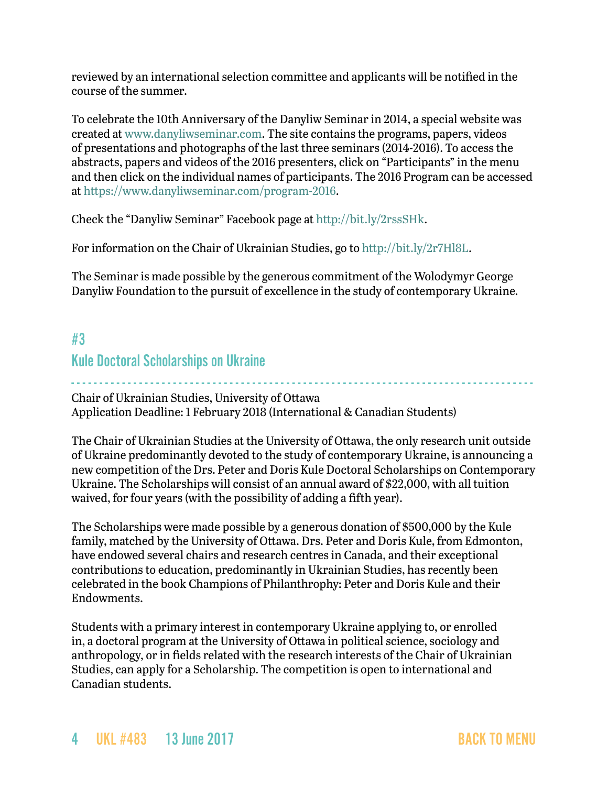reviewed by an international selection committee and applicants will be notified in the course of the summer.

To celebrate the 10th Anniversary of the Danyliw Seminar in 2014, a special website was created at [www.danyliwseminar.com.](http://www.danyliwseminar.com) The site contains the programs, papers, videos of presentations and photographs of the last three seminars (2014-2016). To access the abstracts, papers and videos of the 2016 presenters, click on "Participants" in the menu and then click on the individual names of participants. The 2016 Program can be accessed at<https://www.danyliwseminar.com/program-2016>.

Check the "Danyliw Seminar" Facebook page at<http://bit.ly/2rssSHk>.

For information on the Chair of Ukrainian Studies, go to <http://bit.ly/2r7Hl8L>.

The Seminar is made possible by the generous commitment of the Wolodymyr George Danyliw Foundation to the pursuit of excellence in the study of contemporary Ukraine.

# <span id="page-3-0"></span>#3 Kule Doctoral Scholarships on Ukraine

- - - - - - - - - - - - - - - - - - - - - - - - - - - - - - - - - - - - - - - - - - - - - - - - - - - - - - - - - - - - - - - - - - - - - - - - - - - - - - - - - - Chair of Ukrainian Studies, University of Ottawa Application Deadline: 1 February 2018 (International & Canadian Students)

The Chair of Ukrainian Studies at the University of Ottawa, the only research unit outside of Ukraine predominantly devoted to the study of contemporary Ukraine, is announcing a new competition of the Drs. Peter and Doris Kule Doctoral Scholarships on Contemporary Ukraine. The Scholarships will consist of an annual award of \$22,000, with all tuition waived, for four years (with the possibility of adding a fifth year).

The Scholarships were made possible by a generous donation of \$500,000 by the Kule family, matched by the University of Ottawa. Drs. Peter and Doris Kule, from Edmonton, have endowed several chairs and research centres in Canada, and their exceptional contributions to education, predominantly in Ukrainian Studies, has recently been celebrated in the book Champions of Philanthrophy: Peter and Doris Kule and their Endowments.

Students with a primary interest in contemporary Ukraine applying to, or enrolled in, a doctoral program at the University of Ottawa in political science, sociology and anthropology, or in fields related with the research interests of the Chair of Ukrainian Studies, can apply for a Scholarship. The competition is open to international and Canadian students.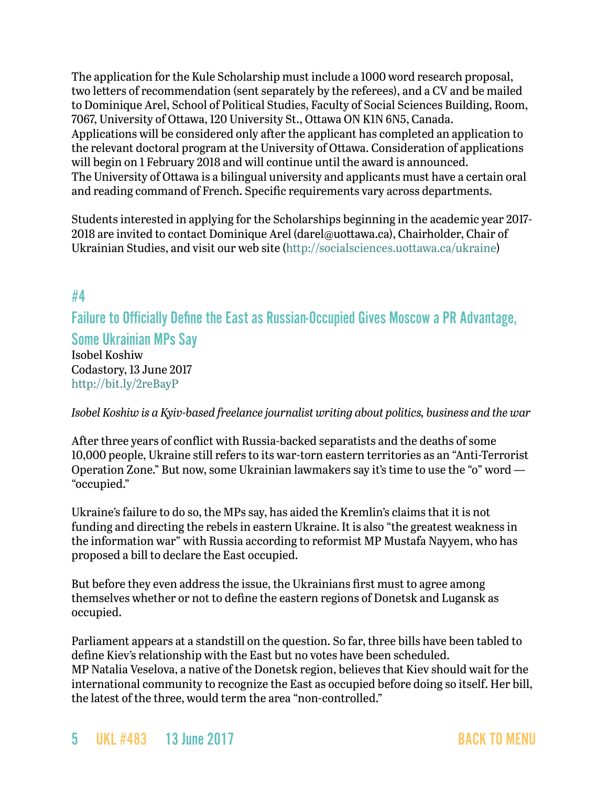The application for the Kule Scholarship must include a 1000 word research proposal, two letters of recommendation (sent separately by the referees), and a CV and be mailed to Dominique Arel, School of Political Studies, Faculty of Social Sciences Building, Room, 7067, University of Ottawa, 120 University St., Ottawa ON K1N 6N5, Canada. Applications will be considered only after the applicant has completed an application to the relevant doctoral program at the University of Ottawa. Consideration of applications will begin on 1 February 2018 and will continue until the award is announced. The University of Ottawa is a bilingual university and applicants must have a certain oral and reading command of French. Specific requirements vary across departments.

Students interested in applying for the Scholarships beginning in the academic year 2017- 2018 are invited to contact Dominique Arel [\(darel@uottawa.ca](mailto:darel@uottawa.ca)), Chairholder, Chair of Ukrainian Studies, and visit our web site [\(http://socialsciences.uottawa.ca/ukraine](http://socialsciences.uottawa.ca/ukraine))

## <span id="page-4-0"></span>#4

Failure to Officially Define the East as Russian-Occupied Gives Moscow a PR Advantage, Some Ukrainian MPs Say

Isobel Koshiw Codastory, 13 June 2017 <http://bit.ly/2reBayP>

*Isobel Koshiw is a Kyiv-based freelance journalist writing about politics, business and the war*

After three years of conflict with Russia-backed separatists and the deaths of some 10,000 people, Ukraine still refers to its war-torn eastern territories as an "Anti-Terrorist Operation Zone." But now, some Ukrainian lawmakers say it's time to use the "o" word — "occupied."

Ukraine's failure to do so, the MPs say, has aided the Kremlin's claims that it is not funding and directing the rebels in eastern Ukraine. It is also "the greatest weakness in the information war" with Russia according to reformist MP Mustafa Nayyem, who has proposed a bill to declare the East occupied.

But before they even address the issue, the Ukrainians first must to agree among themselves whether or not to define the eastern regions of Donetsk and Lugansk as occupied.

Parliament appears at a standstill on the question. So far, three bills have been tabled to define Kiev's relationship with the East but no votes have been scheduled. MP Natalia Veselova, a native of the Donetsk region, believes that Kiev should wait for the international community to recognize the East as occupied before doing so itself. Her bill, the latest of the three, would term the area "non-controlled."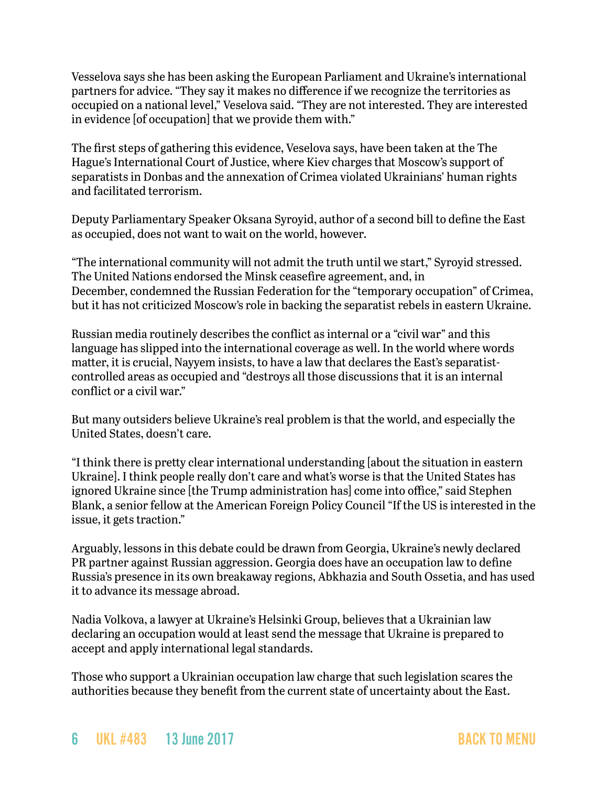Vesselova says she has been asking the European Parliament and Ukraine's international partners for advice. "They say it makes no difference if we recognize the territories as occupied on a national level," Veselova said. "They are not interested. They are interested in evidence [of occupation] that we provide them with."

The first steps of gathering this evidence, Veselova says, have been taken at the The Hague's International Court of Justice, where Kiev charges that Moscow's support of separatists in Donbas and the annexation of Crimea violated Ukrainians' human rights and facilitated terrorism.

Deputy Parliamentary Speaker Oksana Syroyid, author of a second bill to define the East as occupied, does not want to wait on the world, however.

"The international community will not admit the truth until we start," Syroyid stressed. The United Nations [endorsed the Minsk ceasefire agreement,](http://www.economist.com/blogs/economist-explains/2016/09/economist-explains-7) and, in December, [condemned](http://www.un.org/en/ga/search/view_doc.asp?symbol=A/RES/71/205) the Russian Federation for the "temporary occupation" of Crimea, but it has not criticized Moscow's role in backing the separatist rebels in eastern Ukraine.

Russian media routinely describes the conflict as internal or a "civil war" and this language has slipped into the international coverage as well. In the world where words matter, it is crucial, Nayyem insists, to have a law that declares the East's separatistcontrolled areas as occupied and "destroys all those discussions that it is an internal conflict or a civil war."

But many outsiders believe Ukraine's real problem is that the world, and especially the United States, doesn't care.

"I think there is pretty clear international understanding [about the situation in eastern Ukraine]. I think people really don't care and what's worse is that the United States has ignored Ukraine since [the Trump administration has] come into office," said Stephen Blank, a senior fellow at the American Foreign Policy Council "If the US is interested in the issue, it gets traction."

Arguably, lessons in this debate could be drawn from Georgia, [Ukraine's newly declared](http://agenda.ge/news/78197/eng)  [PR partner](http://agenda.ge/news/78197/eng) against Russian aggression. Georgia does have an occupation law to define Russia's presence in its own breakaway regions, Abkhazia and South Ossetia, and has used it to advance its message abroad.

Nadia Volkova, a lawyer at Ukraine's Helsinki Group, believes that a Ukrainian law declaring an occupation would at least send the message that Ukraine is prepared to accept and apply international legal standards.

Those who support a Ukrainian occupation law charge that such legislation scares the authorities because they benefit from the current state of uncertainty about the East.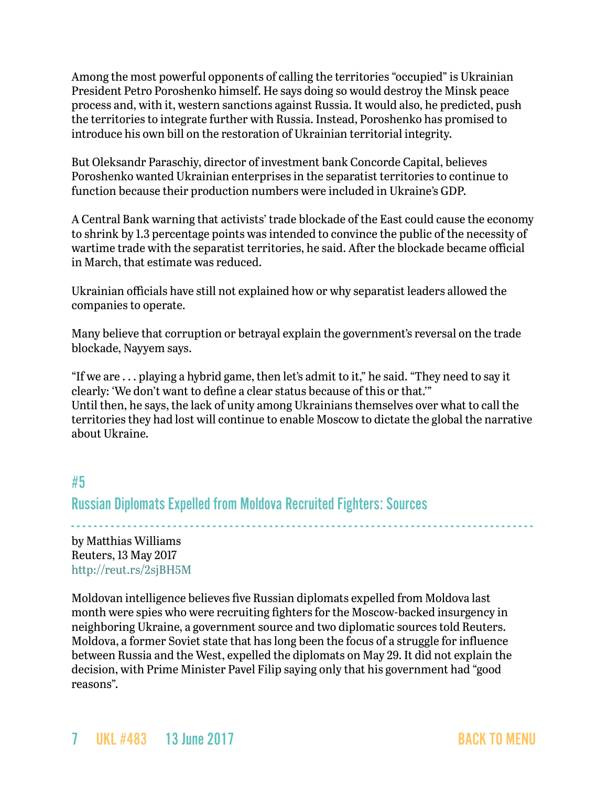Among the most powerful opponents of calling the territories "occupied" is Ukrainian President Petro Poroshenko himself. He says doing so would destroy the Minsk peace process and, with it, western sanctions against Russia. It would also, he predicted, push the territories to integrate further with Russia. Instead, Poroshenko has promised to introduce his own bill on the restoration of Ukrainian territorial integrity.

But Oleksandr Paraschiy, director of investment bank Concorde Capital, believes Poroshenko wanted Ukrainian enterprises in the separatist territories to continue to function because their production numbers were included in Ukraine's GDP.

A Central Bank warning that activists' trade blockade of the East could cause the economy to shrink by 1.3 percentage points was intended to convince the public of the necessity of wartime trade with the separatist territories, he said. After the blockade became official in March, that estimate was reduced.

Ukrainian officials have still not explained how or why separatist leaders allowed the companies to operate.

Many believe that corruption or betrayal explain the government's reversal on the trade blockade, Nayyem says.

"If we are . . . playing a hybrid game, then let's admit to it," he said. "They need to say it clearly: 'We don't want to define a clear status because of this or that.'" Until then, he says, the lack of unity among Ukrainians themselves over what to call the territories they had lost will continue to enable Moscow to dictate the global the narrative about Ukraine.

<span id="page-6-0"></span>#5 Russian Diplomats Expelled from Moldova Recruited Fighters: Sources

- - - - - - - - - - - - - - - - - - - - - - - - - - - - - - - - - - - - - - - - - - - - - - - - - - - - - - - - - - - - - - - - - - - - - - - - - - - - - - - - - -

by Matthias Williams Reuters, 13 May 2017 <http://reut.rs/2sjBH5M>

Moldovan intelligence believes five Russian diplomats expelled from Moldova last month were spies who were recruiting fighters for the Moscow-backed insurgency in neighboring Ukraine, a government source and two diplomatic sources told Reuters. Moldova, a former Soviet state that has long been the focus of a struggle for influence between Russia and the West, expelled the diplomats on May 29. It did not explain the decision, with Prime Minister Pavel Filip saying only that his government had "good reasons".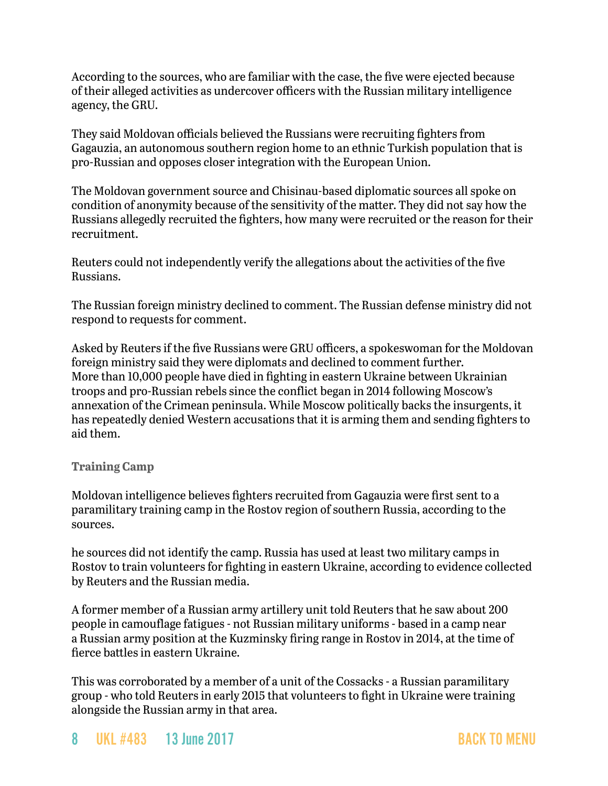According to the sources, who are familiar with the case, the five were ejected because of their alleged activities as undercover officers with the Russian military intelligence agency, the GRU.

They said Moldovan officials believed the Russians were recruiting fighters from Gagauzia, an autonomous southern region home to an ethnic Turkish population that is pro-Russian and opposes closer integration with the European Union.

The Moldovan government source and Chisinau-based diplomatic sources all spoke on condition of anonymity because of the sensitivity of the matter. They did not say how the Russians allegedly recruited the fighters, how many were recruited or the reason for their recruitment.

Reuters could not independently verify the allegations about the activities of the five Russians.

The Russian foreign ministry declined to comment. The Russian defense ministry did not respond to requests for comment.

Asked by Reuters if the five Russians were GRU officers, a spokeswoman for the Moldovan foreign ministry said they were diplomats and declined to comment further. More than 10,000 people have died in fighting in eastern Ukraine between Ukrainian troops and pro-Russian rebels since the conflict began in 2014 following Moscow's annexation of the Crimean peninsula. While Moscow politically backs the insurgents, it has repeatedly denied Western accusations that it is arming them and sending fighters to aid them.

## **Training Camp**

Moldovan intelligence believes fighters recruited from Gagauzia were first sent to a paramilitary training camp in the Rostov region of southern Russia, according to the sources.

he sources did not identify the camp. Russia has used at least two military camps in Rostov to train volunteers for fighting in eastern Ukraine, according to evidence collected by Reuters and the Russian media.

A former member of a Russian army artillery unit told Reuters that he saw about 200 people in camouflage fatigues - not Russian military uniforms - based in a camp near a Russian army position at the Kuzminsky firing range in Rostov in 2014, at the time of fierce battles in eastern Ukraine.

This was corroborated by a member of a unit of the Cossacks - a Russian paramilitary group - who told Reuters in early 2015 that volunteers to fight in Ukraine were training alongside the Russian army in that area.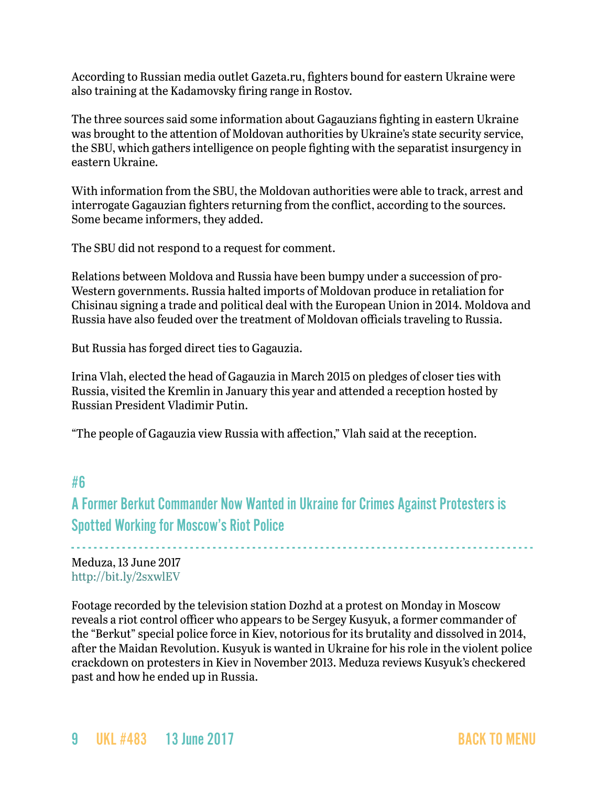According to Russian media outlet Gazeta.ru, fighters bound for eastern Ukraine were also training at the Kadamovsky firing range in Rostov.

The three sources said some information about Gagauzians fighting in eastern Ukraine was brought to the attention of Moldovan authorities by Ukraine's state security service, the SBU, which gathers intelligence on people fighting with the separatist insurgency in eastern Ukraine.

With information from the SBU, the Moldovan authorities were able to track, arrest and interrogate Gagauzian fighters returning from the conflict, according to the sources. Some became informers, they added.

The SBU did not respond to a request for comment.

Relations between Moldova and Russia have been bumpy under a succession of pro-Western governments. Russia halted imports of Moldovan produce in retaliation for Chisinau signing a trade and political deal with the European Union in 2014. Moldova and Russia have also feuded over the treatment of Moldovan officials traveling to Russia.

But Russia has forged direct ties to Gagauzia.

Irina Vlah, elected the head of Gagauzia in March 2015 on pledges of closer ties with Russia, visited the Kremlin in January this year and attended a reception hosted by Russian President Vladimir Putin.

"The people of Gagauzia view Russia with affection," Vlah said at the reception.

## <span id="page-8-0"></span>#6

A Former Berkut Commander Now Wanted in Ukraine for Crimes Against Protesters is Spotted Working for Moscow's Riot Police

- - - - - - - - - - - - - - - - - - - - - - - - - - - - - - - - - - - - - - - - - - - - - - - - - - - - - - - - - - - - - - - - - - - - - - - - - - - - - - - - - - Meduza, 13 June 2017 <http://bit.ly/2sxwlEV>

Footage recorded by the television station Dozhd at a protest on Monday in Moscow reveals a riot control officer who appears to be Sergey Kusyuk, a former commander of the "Berkut" special police force in Kiev, notorious for its brutality and dissolved in 2014, after the Maidan Revolution. Kusyuk is wanted in Ukraine for his role in the violent police crackdown on protesters in Kiev in November 2013. Meduza reviews Kusyuk's checkered past and how he ended up in Russia.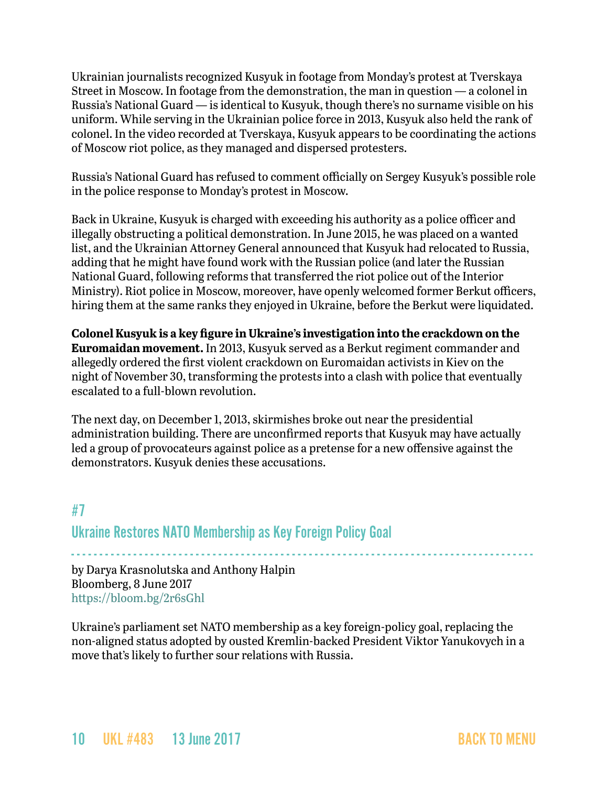Ukrainian journalists recognized Kusyuk in footage from Monday's protest at Tverskaya Street in Moscow. In footage from the demonstration, the man in question — a colonel in Russia's National Guard — is identical to Kusyuk, though there's no surname visible on his uniform. While serving in the Ukrainian police force in 2013, Kusyuk also held the rank of colonel. In the video recorded at Tverskaya, Kusyuk appears to be coordinating the actions of Moscow riot police, as they managed and dispersed protesters.

Russia's National Guard has refused to comment officially on Sergey Kusyuk's possible role in the police response to Monday's protest in Moscow.

Back in Ukraine, Kusyuk is charged with exceeding his authority as a police officer and illegally obstructing a political demonstration. In June 2015, he was placed on a wanted list, and the Ukrainian Attorney General announced that Kusyuk had relocated to Russia, adding that he might have found work with the Russian police (and later the Russian National Guard, following reforms that transferred the riot police out of the Interior Ministry). Riot police in Moscow, moreover, have openly welcomed former Berkut officers, hiring them at the same ranks they enjoyed in Ukraine, before the Berkut were liquidated.

**Colonel Kusyuk is a key figure in Ukraine's investigation into the crackdown on the Euromaidan movement.** In 2013, Kusyuk served as a Berkut regiment commander and allegedly ordered the first violent crackdown on Euromaidan activists in Kiev on the night of November 30, transforming the protests into a clash with police that eventually escalated to a full-blown revolution.

The next day, on December 1, 2013, skirmishes broke out near the presidential administration building. There are unconfirmed reports that Kusyuk may have actually led a group of provocateurs against police as a pretense for a new offensive against the demonstrators. Kusyuk denies these accusations.

# <span id="page-9-0"></span>#7 Ukraine Restores NATO Membership as Key Foreign Policy Goal

- - - - - - - - - - - - - - - - - - - - - - - - - - - - - - - - - - - - - - - - - - - - - - - - - - - - - - - - - - - - - - - - - - - - - - - - - - - - - - - - - by Darya Krasnolutska and Anthony Halpin Bloomberg, 8 June 2017 <https://bloom.bg/2r6sGhl>

Ukraine's parliament set NATO membership as a key foreign-policy goal, replacing the non-aligned status adopted by ousted Kremlin-backed President Viktor Yanukovych in a move that's likely to further sour relations with Russia.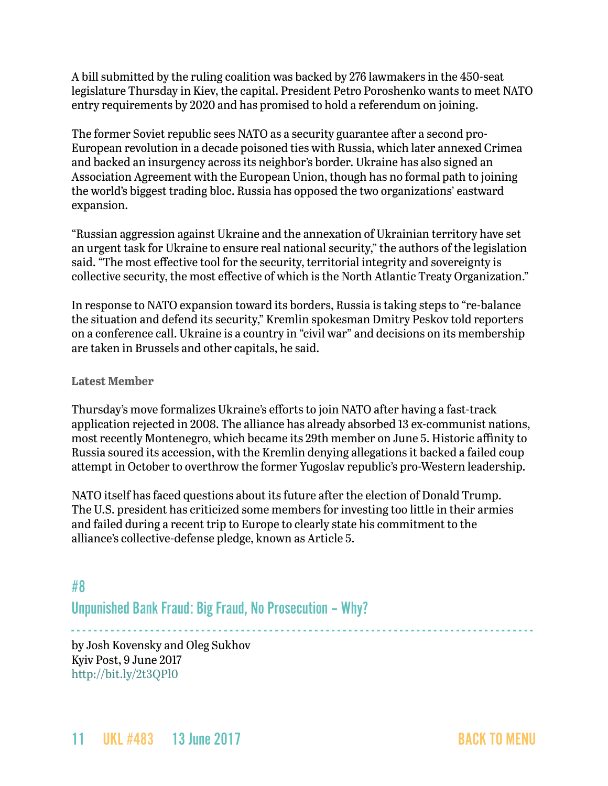A bill submitted by the ruling coalition was backed by 276 lawmakers in the 450-seat legislature Thursday in Kiev, the capital. President [Petro Poroshenko](https://www.bloomberg.com/billionaires/id/3499066) wants to meet NATO entry requirements by 2020 and has promised to hold a referendum on joining.

The former Soviet republic sees NATO as a security guarantee after a second pro-European revolution in a decade poisoned ties with Russia, which later annexed Crimea and backed an [insurgency](https://www.bloomberg.com/view/quicktake/unrest-in-ukraine) across its neighbor's border. Ukraine has also signed an Association Agreement with the European Union, though has no formal path to joining the world's biggest trading bloc. Russia has opposed the two organizations' eastward expansion.

"Russian aggression against Ukraine and the annexation of Ukrainian territory have set an urgent task for Ukraine to ensure real national security," the authors of the legislation said. "The most effective tool for the security, territorial integrity and sovereignty is collective security, the most effective of which is the North Atlantic Treaty Organization."

In response to NATO expansion toward its borders, Russia is taking steps to "re-balance the situation and defend its security," Kremlin spokesman Dmitry Peskov told reporters on a conference call. Ukraine is a country in "civil war" and decisions on its membership are taken in Brussels and other capitals, he said.

### **Latest Member**

Thursday's move formalizes Ukraine's efforts to join NATO after having a fast-track application rejected in 2008. The alliance has already absorbed 13 ex-communist nations, most recently [Montenegro,](https://www.bloomberg.com/news/articles/2017-05-14/russian-tourists-love-nato-s-next-member-to-moscow-s-chagrin) which became its 29th member on June 5. Historic affinity to Russia soured its accession, with the Kremlin denying allegations it backed a failed coup attempt in October to overthrow the former Yugoslav republic's pro-Western leadership.

NATO itself has faced questions about its future after the election of Donald Trump. The U.S. president has criticized some members for investing too little in their armies and failed during a recent trip to Europe to clearly state his [commitment](https://www.bloomberg.com/politics/articles/2017-05-29/old-world-order-is-alive-but-unwell-after-four-months-of-trump) to the alliance's collective-defense pledge, known as Article 5.

# <span id="page-10-0"></span>#8

Unpunished Bank Fraud: Big Fraud, No Prosecution – Why? - - - - - - - - - - - - - - - - - - - - - - - - - - - - - - - - - - - - - - - - - - - - - - - - - - - - - - - - - - - - - - - - - - - - - - - - - - - - - - - - - -

by Josh Kovensky and Oleg Sukhov Kyiv Post, 9 June 2017 <http://bit.ly/2t3QPl0>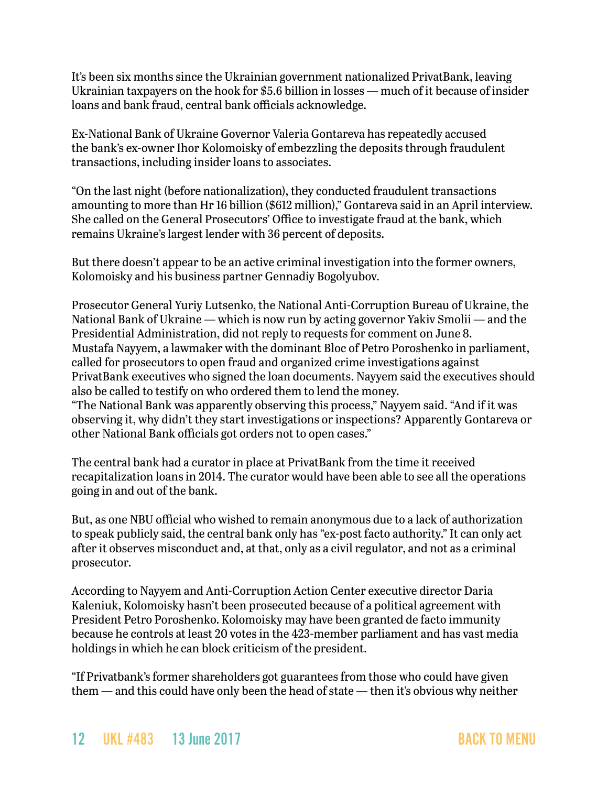It's been six months since the Ukrainian government nationalized PrivatBank, leaving Ukrainian taxpayers on the hook for \$5.6 billion in losses — much of it because of insider loans and bank fraud, central bank officials acknowledge.

Ex-National Bank of Ukraine Governor Valeria Gontareva has repeatedly accused the bank's ex-owner Ihor Kolomoisky of embezzling the deposits through fraudulent transactions, including insider loans to associates.

"On the last night (before nationalization), they conducted fraudulent transactions amounting to more than Hr 16 billion (\$612 million)," Gontareva said in an April interview. She called on the General Prosecutors' Office to investigate fraud at the bank, which remains Ukraine's largest lender with 36 percent of deposits.

But there doesn't appear to be an active criminal investigation into the former owners, Kolomoisky and his business partner Gennadiy Bogolyubov.

Prosecutor General Yuriy Lutsenko, the National Anti-Corruption Bureau of Ukraine, the National Bank of Ukraine — which is now run by acting governor Yakiv Smolii — and the Presidential Administration, did not reply to requests for comment on June 8. Mustafa Nayyem, a lawmaker with the dominant Bloc of Petro Poroshenko in parliament, called for prosecutors to open fraud and organized crime investigations against PrivatBank executives who signed the loan documents. Nayyem said the executives should also be called to testify on who ordered them to lend the money. "The National Bank was apparently observing this process," Nayyem said. "And if it was observing it, why didn't they start investigations or inspections? Apparently Gontareva or other National Bank officials got orders not to open cases."

The central bank had a curator in place at PrivatBank from the time it received recapitalization loans in 2014. The curator would have been able to see all the operations going in and out of the bank.

But, as one NBU official who wished to remain anonymous due to a lack of authorization to speak publicly said, the central bank only has "ex-post facto authority." It can only act after it observes misconduct and, at that, only as a civil regulator, and not as a criminal prosecutor.

According to Nayyem and Anti-Corruption Action Center executive director Daria Kaleniuk, Kolomoisky hasn't been prosecuted because of a political agreement with President Petro Poroshenko. Kolomoisky may have been granted de facto immunity because he controls at least 20 votes in the 423-member parliament and has vast media holdings in which he can block criticism of the president.

"If Privatbank's former shareholders got guarantees from those who could have given them — and this could have only been the head of state — then it's obvious why neither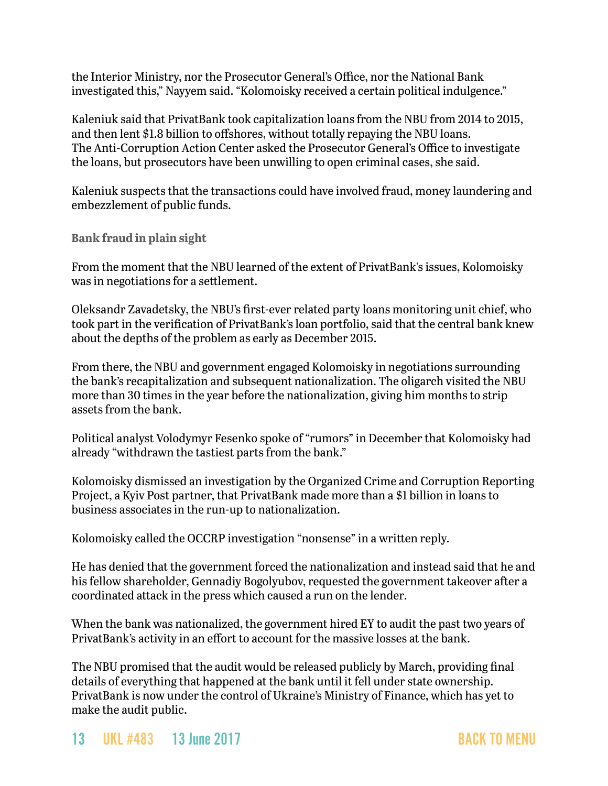the Interior Ministry, nor the Prosecutor General's Office, nor the National Bank investigated this," Nayyem said. "Kolomoisky received a certain political indulgence."

Kaleniuk said that PrivatBank took capitalization loans from the NBU from 2014 to 2015, and then lent \$1.8 billion to offshores, without totally repaying the NBU loans. The Anti-Corruption Action Center asked the Prosecutor General's Office to investigate the loans, but prosecutors have been unwilling to open criminal cases, she said.

Kaleniuk suspects that the transactions could have involved fraud, money laundering and embezzlement of public funds.

**Bank fraud in plain sight**

From the moment that the NBU learned of the extent of PrivatBank's issues, Kolomoisky was in negotiations for a settlement.

Oleksandr Zavadetsky, the NBU's first-ever related party loans monitoring unit chief, who took part in the verification of PrivatBank's loan portfolio, said that the central bank knew about the depths of the problem as early as December 2015.

From there, the NBU and government engaged Kolomoisky in negotiations surrounding the bank's recapitalization and subsequent nationalization. The oligarch visited the NBU more than 30 times in the year before the nationalization, giving him months to strip assets from the bank.

Political analyst Volodymyr Fesenko spoke of "rumors" in December that Kolomoisky had already "withdrawn the tastiest parts from the bank."

Kolomoisky dismissed an investigation by the Organized Crime and Corruption Reporting Project, a Kyiv Post partner, that PrivatBank made more than a \$1 billion in loans to business associates in the run-up to nationalization.

Kolomoisky called the OCCRP investigation "nonsense" in a written reply.

He has denied that the government forced the nationalization and instead said that he and his fellow shareholder, Gennadiy Bogolyubov, requested the government takeover after a coordinated attack in the press which caused a run on the lender.

When the bank was nationalized, the government hired EY to audit the past two years of PrivatBank's activity in an effort to account for the massive losses at the bank.

The NBU promised that the audit would be released publicly by March, providing final details of everything that happened at the bank until it fell under state ownership. PrivatBank is now under the control of Ukraine's Ministry of Finance, which has yet to make the audit public.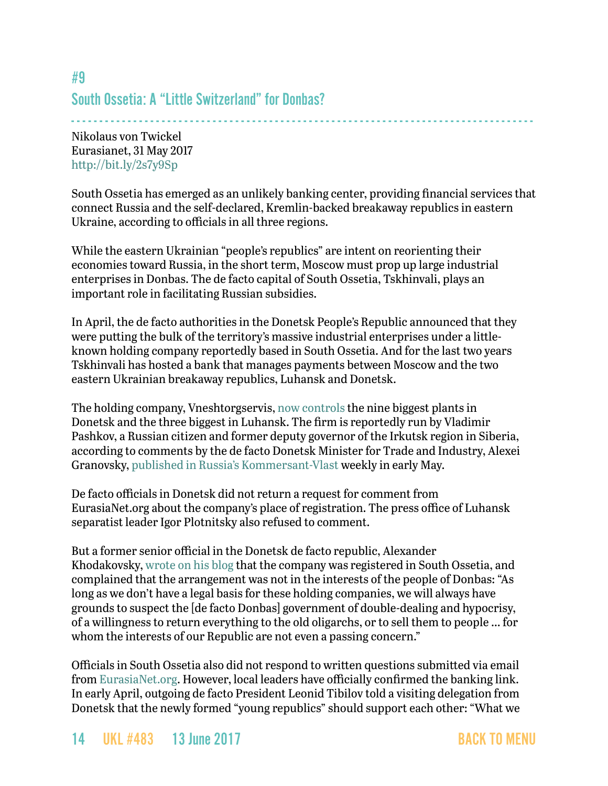# #9 South Ossetia: A "Little Switzerland" for Donbas?

- - - - - - - - - - - - - - - - - - - - - - - - - - - - - - - - - - - - - - - - - - - - - - - - - - - - - - - - - - - - - - - - - - - - - - - - - - - - - - - - - - Nikolaus von Twickel Eurasianet, 31 May 2017 <http://bit.ly/2s7y9Sp>

South Ossetia has emerged as an unlikely banking center, providing financial services that connect Russia and the self-declared, Kremlin-backed breakaway republics in eastern Ukraine, according to officials in all three regions.

While the eastern Ukrainian "people's republics" are intent on reorienting their economies toward Russia, in the short term, Moscow must prop up large industrial enterprises in Donbas. The de facto capital of South Ossetia, Tskhinvali, plays an important role in facilitating Russian subsidies.

In April, the de facto authorities in the Donetsk People's Republic [announced](http://av-zakharchenko.su/documents/ukazi/2017/04/Ukaz_N77_04042017.pdf) that they were putting the bulk of the territory's massive industrial enterprises under a littleknown holding company reportedly based in South Ossetia. And for the last two years Tskhinvali has hosted a bank that manages payments between Moscow and the two eastern Ukrainian breakaway republics, Luhansk and Donetsk.

The holding company, Vneshtorgservis, [now controls](https://www.kommersant.ru/doc/3283539) the nine biggest plants in Donetsk and the three biggest in Luhansk. The firm is reportedly run by Vladimir Pashkov, a Russian citizen and former deputy governor of the Irkutsk region in Siberia, according to comments by the de facto Donetsk Minister for Trade and Industry, Alexei Granovsky, [published in Russia's Kommersant-Vlast](https://www.kommersant.ru/doc/3283539) weekly in early May.

De facto officials in Donetsk did not return a request for comment from EurasiaNet.org about the company's place of registration. The press office of Luhansk separatist leader Igor Plotnitsky also refused to comment.

But a former senior official in the Donetsk de facto republic, Alexander Khodakovsky, [wrote on his blog](http://aleksandr-skif.livejournal.com/84539.html) that the company was registered in South Ossetia, and complained that the arrangement was not in the interests of the people of Donbas: "As long as we don't have a legal basis for these holding companies, we will always have grounds to suspect the [de facto Donbas] government of double-dealing and hypocrisy, of a willingness to return everything to the old oligarchs, or to sell them to people … for whom the interests of our Republic are not even a passing concern."

Officials in South Ossetia also did not respond to written questions submitted via email from [EurasiaNet.org.](http://eurasianet.org/) However, local leaders have officially confirmed the banking link. In early April, outgoing de facto President Leonid Tibilov told a visiting delegation from Donetsk that the newly formed "young republics" should support each other: "What we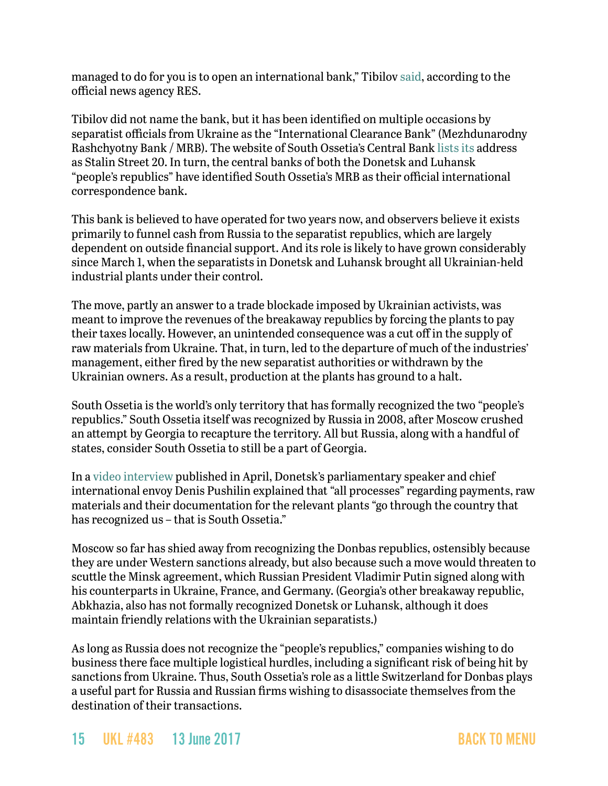managed to do for you is to open an international bank," Tibilov [said,](http://cominf.org/node/1166511516) according to the official news agency RES.

Tibilov did not name the bank, but it has been identified on multiple occasions by separatist officials from Ukraine as the "International Clearance Bank" (Mezhdunarodny Rashchyotny Bank / MRB). The website of South Ossetia's Central Bank [lists its](http://bank-ossetia.org/bank_system/sberbank_ruo.php) address as Stalin Street 20. In turn, the central banks of both the Donetsk and Luhansk "people's republics" have identified South Ossetia's MRB as their official international correspondence bank.

This bank is believed to have operated for two years now, and observers believe it exists primarily to funnel cash from Russia to the separatist republics, which are largely dependent on outside financial support. And its role is likely to have grown considerably since March 1, when the separatists in Donetsk and Luhansk brought all Ukrainian-held industrial plants under their control.

The move, partly an answer to a trade blockade imposed by Ukrainian activists, was meant to improve the revenues of the breakaway republics by forcing the plants to pay their taxes locally. However, an unintended consequence was a cut off in the supply of raw materials from Ukraine. That, in turn, led to the departure of much of the industries' management, either fired by the new separatist authorities or withdrawn by the Ukrainian owners. As a result, production at the plants has ground to a halt.

South Ossetia is the world's only territory that has formally recognized the two "people's republics." South Ossetia itself was recognized by Russia in 2008, after Moscow crushed an attempt by Georgia to recapture the territory. All but Russia, along with a handful of states, consider South Ossetia to still be a part of Georgia.

In a [video interview](https://www.youtube.com/watch?v=Rb14B-TN-zM) published in April, Donetsk's parliamentary speaker and chief international envoy Denis Pushilin explained that "all processes" regarding payments, raw materials and their documentation for the relevant plants "go through the country that has recognized us – that is South Ossetia."

Moscow so far has shied away from recognizing the Donbas republics, ostensibly because they are under Western sanctions already, but also because such a move would threaten to scuttle the Minsk agreement, which Russian President Vladimir Putin signed along with his counterparts in Ukraine, France, and Germany. (Georgia's other breakaway republic, Abkhazia, also has not formally recognized Donetsk or Luhansk, although it does maintain friendly relations with the Ukrainian separatists.)

As long as Russia does not recognize the "people's republics," companies wishing to do business there face multiple logistical hurdles, including a significant risk of being hit by sanctions from Ukraine. Thus, South Ossetia's role as a little Switzerland for Donbas plays a useful part for Russia and Russian firms wishing to disassociate themselves from the destination of their transactions.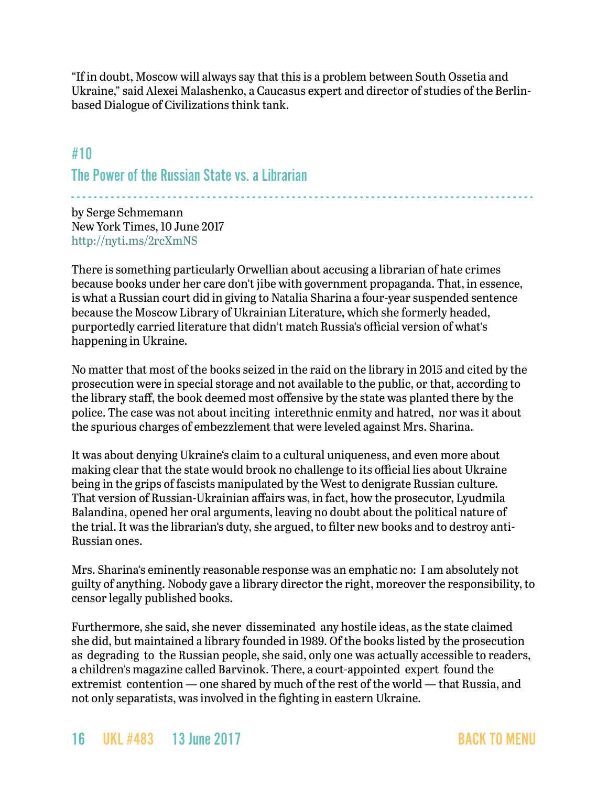"If in doubt, Moscow will always say that this is a problem between South Ossetia and Ukraine," said Alexei Malashenko, a Caucasus expert and director of studies of the Berlinbased Dialogue of Civilizations think tank.

# #10 The Power of the Russian State vs. a Librarian

- - - - - - - - - - - - - - - - - - - - - - - - - - - - - - - - - - - - - - - - - - - - - - - - - - - - - - - - - - - - - - - - - - - - - - - - - - - - - - - - - by Serge Schmemann New York Times, 10 June 2017 <http://nyti.ms/2rcXmNS>

There is something particularly Orwellian about accusing a librarian of hate crimes because books under her care don't jibe with government propaganda. That, in essence, is what a Russian court did in giving to Natalia Sharina a four-year suspended sentence because the Moscow Library of Ukrainian Literature, which she formerly headed, purportedly carried literature that didn't match Russia's official version of what's happening in Ukraine.

No matter that most of the books seized in the raid on the library in 2015 and cited by the prosecution were in special storage and not available to the public, or that, according to the library staff, the book deemed most offensive by the state was planted there by the police. The case was not about inciting interethnic enmity and hatred, nor was it about the spurious charges of embezzlement that were leveled against Mrs. Sharina.

It was about denying Ukraine's claim to a cultural uniqueness, and even more about making clear that the state would brook no challenge to its official lies about Ukraine being in the grips of fascists manipulated by the West to denigrate Russian culture. That version of Russian-Ukrainian affairs was, in fact, how the prosecutor, Lyudmila Balandina, opened her oral arguments, leaving no doubt about the political nature of the trial. It was the librarian's duty, she argued, to filter new books and to destroy anti-Russian ones.

Mrs. Sharina's eminently reasonable response was an emphatic no: I am absolutely not guilty of anything. Nobody gave a library director the right, moreover the responsibility, to censor legally published books.

Furthermore, she said, she never disseminated any hostile ideas, as the state claimed she did, but maintained a library founded in 1989. Of the books listed by the prosecution as degrading to the Russian people, she said, only one was actually accessible to readers, a children's magazine called Barvinok. There, a court-appointed expert found the extremist contention — one shared by much of the rest of the world — that Russia, and not only separatists, was involved in the fighting in eastern Ukraine.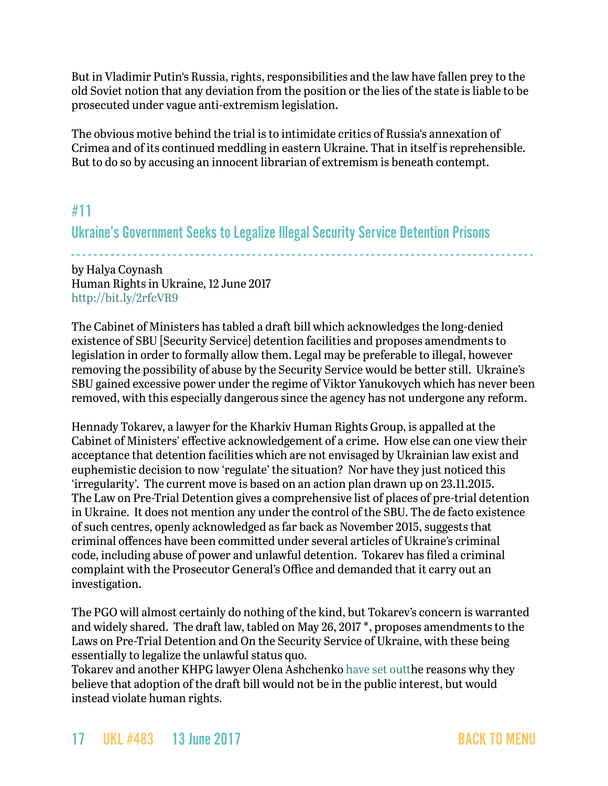But in Vladimir Putin's Russia, rights, responsibilities and the law have fallen prey to the old Soviet notion that any deviation from the position or the lies of the state is liable to be prosecuted under vague anti-extremism legislation.

The obvious motive behind the trial is to intimidate critics of Russia's annexation of Crimea and of its continued meddling in eastern Ukraine. That in itself is reprehensible. But to do so by accusing an innocent librarian of extremism is beneath contempt.

## #11

Ukraine's Government Seeks to Legalize Illegal Security Service Detention Prisons

- - - - - - - - - - - - - - - - - - - - - - - - - - - - - - - - - - - - - - - - - - - - - - - - - - - - - - - - - - - - - - - - - - - - - - - - - - - - - - - - - by Halya Coynash Human Rights in Ukraine, 12 June 2017 <http://bit.ly/2rfcVR9>

The Cabinet of Ministers has tabled a draft bill which acknowledges the long-denied existence of SBU [Security Service] detention facilities and proposes amendments to legislation in order to formally allow them. Legal may be preferable to illegal, however removing the possibility of abuse by the Security Service would be better still. Ukraine's SBU gained excessive power under the regime of Viktor Yanukovych which has never been removed, with this especially dangerous since the agency has not undergone any reform.

Hennady Tokarev, a lawyer for the Kharkiv Human Rights Group, is appalled at the Cabinet of Ministers' effective acknowledgement of a crime. How else can one view their acceptance that detention facilities which are not envisaged by Ukrainian law exist and euphemistic decision to now 'regulate' the situation? Nor have they just noticed this 'irregularity'. The current move is based on an action plan drawn up on 23.11.2015. The Law on Pre-Trial Detention gives a comprehensive list of places of pre-trial detention in Ukraine. It does not mention any under the control of the SBU. The de facto existence of such centres, openly acknowledged as far back as November 2015, suggests that criminal offences have been committed under several articles of Ukraine's criminal code, including abuse of power and unlawful detention. Tokarev has filed a criminal complaint with the Prosecutor General's Office and demanded that it carry out an investigation.

The PGO will almost certainly do nothing of the kind, but Tokarev's concern is warranted and widely shared. The draft law, tabled on May 26, 2017 \*, proposes amendments to the Laws on Pre-Trial Detention and On the Security Service of Ukraine, with these being essentially to legalize the unlawful status quo.

Tokarev and another KHPG lawyer Olena Ashchenko [have set outt](http://khpg.org/index.php?id=1496843403)he reasons why they believe that adoption of the draft bill would not be in the public interest, but would instead violate human rights.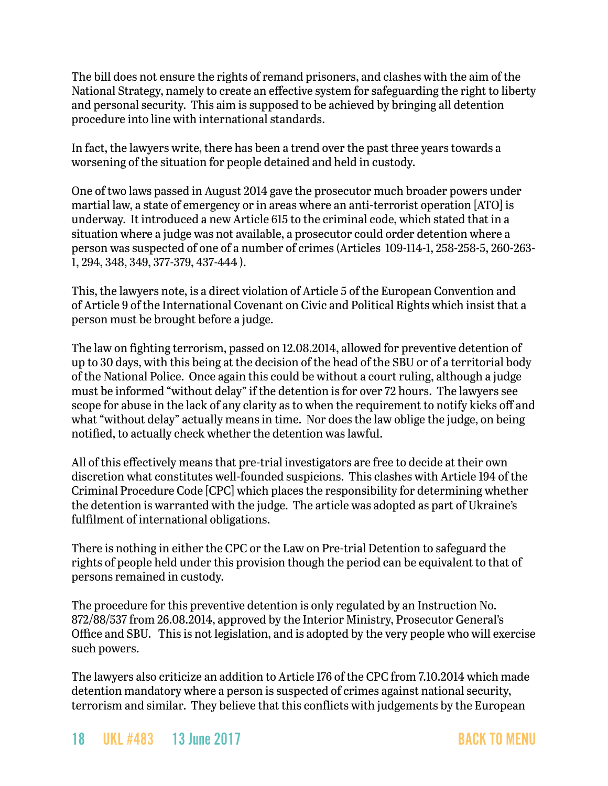The bill does not ensure the rights of remand prisoners, and clashes with the aim of the National Strategy, namely to create an effective system for safeguarding the right to liberty and personal security. This aim is supposed to be achieved by bringing all detention procedure into line with international standards.

In fact, the lawyers write, there has been a trend over the past three years towards a worsening of the situation for people detained and held in custody.

One of two laws passed in August 2014 gave the prosecutor much broader powers under martial law, a state of emergency or in areas where an anti-terrorist operation [ATO] is underway. It introduced a new Article 615 to the criminal code, which stated that in a situation where a judge was not available, a prosecutor could order detention where a person was suspected of one of a number of crimes (Articles 109-114-1, 258-258-5, 260-263- 1, 294, 348, 349, 377-379, 437-444 ).

This, the lawyers note, is a direct violation of Article 5 of the European Convention and of Article 9 of the International Covenant on Civic and Political Rights which insist that a person must be brought before a judge.

The law on fighting terrorism, passed on 12.08.2014, allowed for preventive detention of up to 30 days, with this being at the decision of the head of the SBU or of a territorial body of the National Police. Once again this could be without a court ruling, although a judge must be informed "without delay" if the detention is for over 72 hours. The lawyers see scope for abuse in the lack of any clarity as to when the requirement to notify kicks off and what "without delay" actually means in time. Nor does the law oblige the judge, on being notified, to actually check whether the detention was lawful.

All of this effectively means that pre-trial investigators are free to decide at their own discretion what constitutes well-founded suspicions. This clashes with Article 194 of the Criminal Procedure Code [CPC] which places the responsibility for determining whether the detention is warranted with the judge. The article was adopted as part of Ukraine's fulfilment of international obligations.

There is nothing in either the CPC or the Law on Pre-trial Detention to safeguard the rights of people held under this provision though the period can be equivalent to that of persons remained in custody.

The procedure for this preventive detention is only regulated by an Instruction No. 872/88/537 from 26.08.2014, approved by the Interior Ministry, Prosecutor General's Office and SBU. This is not legislation, and is adopted by the very people who will exercise such powers.

The lawyers also criticize an addition to Article 176 of the CPC from 7.10.2014 which made detention mandatory where a person is suspected of crimes against national security, terrorism and similar. They believe that this conflicts with judgements by the European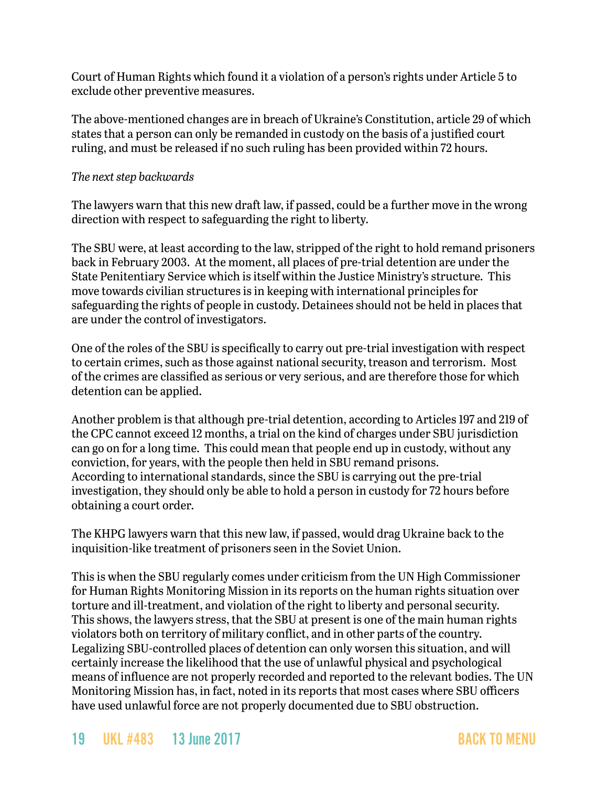Court of Human Rights which found it a violation of a person's rights under Article 5 to exclude other preventive measures.

The above-mentioned changes are in breach of Ukraine's Constitution, article 29 of which states that a person can only be remanded in custody on the basis of a justified court ruling, and must be released if no such ruling has been provided within 72 hours.

### *The next step backwards*

The lawyers warn that this new draft law, if passed, could be a further move in the wrong direction with respect to safeguarding the right to liberty.

The SBU were, at least according to the law, stripped of the right to hold remand prisoners back in February 2003. At the moment, all places of pre-trial detention are under the State Penitentiary Service which is itself within the Justice Ministry's structure. This move towards civilian structures is in keeping with international principles for safeguarding the rights of people in custody. Detainees should not be held in places that are under the control of investigators.

One of the roles of the SBU is specifically to carry out pre-trial investigation with respect to certain crimes, such as those against national security, treason and terrorism. Most of the crimes are classified as serious or very serious, and are therefore those for which detention can be applied.

Another problem is that although pre-trial detention, according to Articles 197 and 219 of the CPC cannot exceed 12 months, a trial on the kind of charges under SBU jurisdiction can go on for a long time. This could mean that people end up in custody, without any conviction, for years, with the people then held in SBU remand prisons. According to international standards, since the SBU is carrying out the pre-trial investigation, they should only be able to hold a person in custody for 72 hours before obtaining a court order.

The KHPG lawyers warn that this new law, if passed, would drag Ukraine back to the inquisition-like treatment of prisoners seen in the Soviet Union.

This is when the SBU regularly comes under criticism from the UN High Commissioner for Human Rights Monitoring Mission in its reports on the human rights situation over torture and ill-treatment, and violation of the right to liberty and personal security. This shows, the lawyers stress, that the SBU at present is one of the main human rights violators both on territory of military conflict, and in other parts of the country. Legalizing SBU-controlled places of detention can only worsen this situation, and will certainly increase the likelihood that the use of unlawful physical and psychological means of influence are not properly recorded and reported to the relevant bodies. The UN Monitoring Mission has, in fact, noted in its reports that most cases where SBU officers have used unlawful force are not properly documented due to SBU obstruction.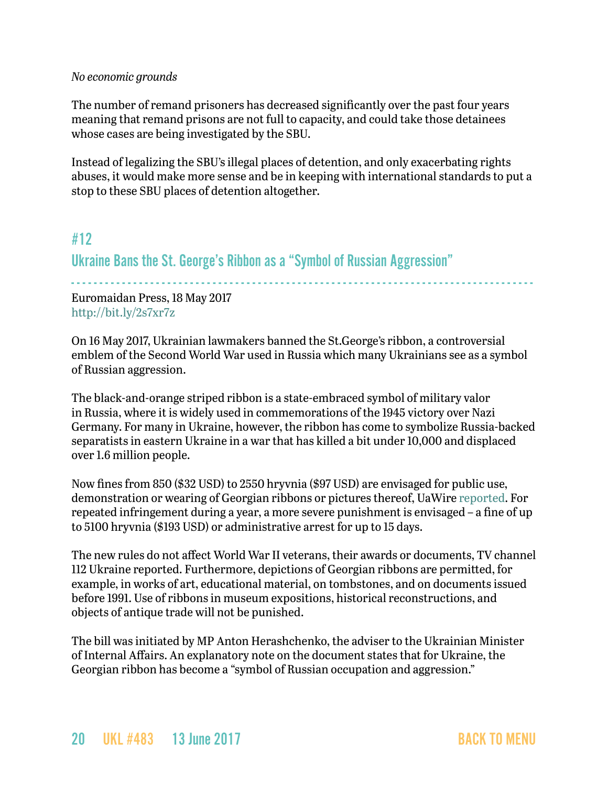### *No economic grounds*

The number of remand prisoners has decreased significantly over the past four years meaning that remand prisons are not full to capacity, and could take those detainees whose cases are being investigated by the SBU.

Instead of legalizing the SBU's illegal places of detention, and only exacerbating rights abuses, it would make more sense and be in keeping with international standards to put a stop to these SBU places of detention altogether.

## #12

Ukraine Bans the St. George's Ribbon as a "Symbol of Russian Aggression"

- - - - - - - - - - - - - - - - - - - - - - - - - - - - - - - - - - - - - - - - - - - - - - - - - - - - - - - - - - - - - - - - - - - - - - - - - - - - - - - - - - Euromaidan Press, 18 May 2017 <http://bit.ly/2s7xr7z>

On 16 May 2017, Ukrainian lawmakers banned the St.George's ribbon, a controversial emblem of the Second World War used in Russia which many Ukrainians see as a symbol of Russian aggression.

The black-and-orange striped ribbon is a state-embraced symbol of military valor in Russia, where it is widely used in commemorations of the 1945 victory over Nazi Germany. For many in Ukraine, however, the ribbon has come to symbolize Russia-backed separatists in eastern Ukraine in a war that has killed a bit under 10,000 and displaced over 1.6 million people.

Now fines from 850 (\$32 USD) to 2550 hryvnia (\$97 USD) are envisaged for public use, demonstration or wearing of Georgian ribbons or pictures thereof, UaWire [reported.](http://uawire.org/news/ukrainian-parliament-bans-use-of-st-george-ribbon) For repeated infringement during a year, a more severe punishment is envisaged – a fine of up to 5100 hryvnia (\$193 USD) or administrative arrest for up to 15 days.

The new rules do not affect World War II veterans, their awards or documents, TV channel 112 Ukraine reported. Furthermore, depictions of Georgian ribbons are permitted, for example, in works of art, educational material, on tombstones, and on documents issued before 1991. Use of ribbons in museum expositions, historical reconstructions, and objects of antique trade will not be punished.

The bill was initiated by MP Anton Herashchenko, the adviser to the Ukrainian Minister of Internal Affairs. An explanatory note on the document states that for Ukraine, the Georgian ribbon has become a "symbol of Russian occupation and aggression."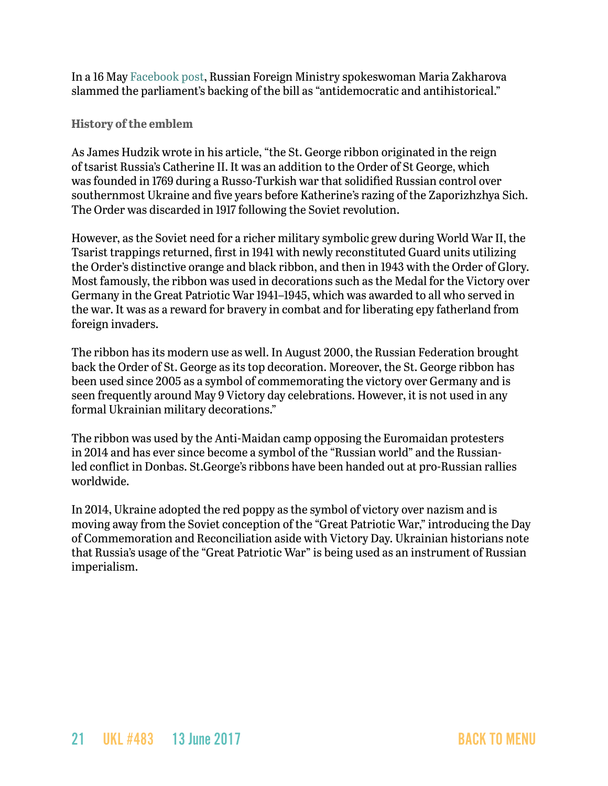In a 16 May [Facebook post,](https://www.facebook.com/maria.zakharova.167/posts/10213434928737336?pnref=story) Russian Foreign Ministry spokeswoman Maria Zakharova slammed the parliament's backing of the bill as "antidemocratic and antihistorical."

## **History of the emblem**

As James Hudzik wrote in his [article,](http://euromaidanpress.com/2014/02/09/the-st-george-ribbon-and-why-are-they-wearing-it/) "the St. George ribbon originated in the reign of tsarist Russia's Catherine II. It was an addition to the Order of St George, which was founded in 1769 during a Russo-Turkish war that solidified Russian control over southernmost Ukraine and five years before Katherine's razing of the Zaporizhzhya Sich. The Order was discarded in 1917 following the Soviet revolution.

However, as the Soviet need for a richer military symbolic grew during World War II, the Tsarist trappings returned, first in 1941 with newly reconstituted Guard units utilizing the Order's distinctive orange and black ribbon, and then in 1943 with the Order of Glory. Most famously, the ribbon was used in decorations such as the Medal for the Victory over Germany in the Great Patriotic War 1941–1945, which was awarded to all who served in the war. It was as a reward for bravery in combat and for liberating epy fatherland from foreign invaders.

The ribbon has its modern use as well. In August 2000, the Russian Federation brought back the Order of St. George as its top decoration. Moreover, the St. George ribbon has been used since 2005 as a symbol of commemorating the victory over Germany and is seen frequently around May 9 Victory day celebrations. However, it is not used in any formal Ukrainian military decorations."

The ribbon was used by the Anti-Maidan camp opposing the Euromaidan protesters in 2014 and has ever since become a symbol of the "Russian world" and the Russianled conflict in Donbas. St.George's ribbons have been handed out at pro-Russian rallies worldwide.

In 2014, Ukrain[e adopted](https://www.google.com.ua/url?sa=t&rct=j&q=&esrc=s&source=web&cd=1&cad=rja&uact=8&ved=0ahUKEwih48vPyffTAhWJ1iwKHYYLCEMQFgglMAA&url=http%3A%2F%2Feuromaidanpress.com%2F2014%2F05%2F11%2Ffor-first-time-ever-ukraine-remembers-those-killed-in-world-war-ii-under-the-european-symbol-of-the-red-poppy-on-may-8-2014%2F&usg=AFQjCNECEEcr4TBhDbXV1LbCBOjNrMsRng&sig2=Z53heO8Oj_vpXkl8T2f4qg) the red poppy as the symbol of victory over nazism and is moving away from the Soviet conception of the "Great Patriotic War," introducing the Day of Commemoration and Reconciliation aside with Victory Day. Ukrainian historians note that Russia's usage of the "Great Patriotic War" is being used as an instrument of Russian imperialism.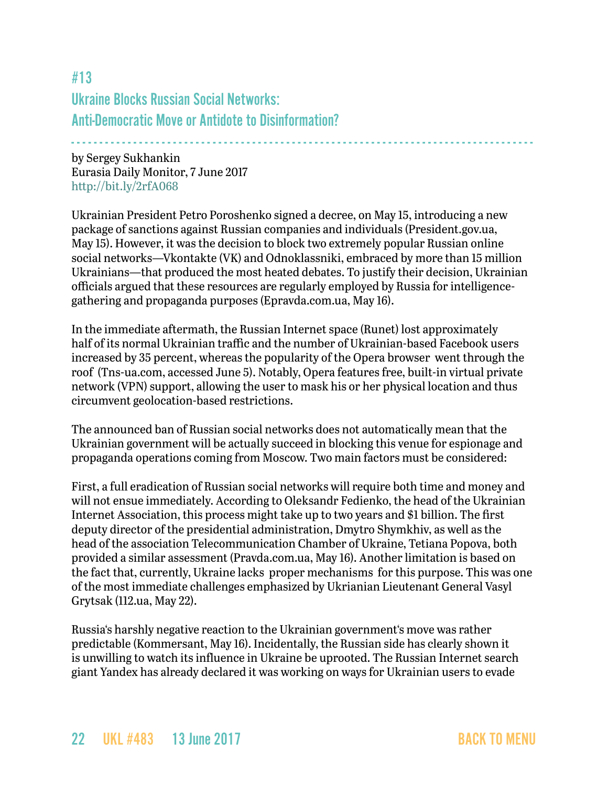# #13 Ukraine Blocks Russian Social Networks: Anti-Democratic Move or Antidote to Disinformation?

- - - - - - - - - - - - - - - - - - - - - - - - - - - - - - - - - - - - - - - - - - - - - - - - - - - - - - - - - - - - - - - - - - - - - - - - - - - - - - - - - by Sergey Sukhankin Eurasia Daily Monitor, 7 June 2017 <http://bit.ly/2rfA068>

Ukrainian President Petro Poroshenko signed a decree, on May 15, introducing a new package of sanctions against Russian companies and individuals (President.gov.ua, May 15). However, it was the decision to block two extremely popular Russian online social networks—Vkontakte (VK) and Odnoklassniki, embraced by more than 15 million Ukrainians—that produced the most heated debates. To justify their decision, Ukrainian officials argued that these resources are regularly employed by Russia for intelligencegathering and propaganda purposes (Epravda.com.ua, May 16).

In the immediate aftermath, the Russian Internet space (Runet) lost approximately half of its normal Ukrainian traffic and the number of Ukrainian-based Facebook users increased by 35 percent, whereas the popularity of the Opera browser went through the roof (Tns-ua.com, accessed June 5). Notably, Opera features free, built-in virtual private network (VPN) support, allowing the user to mask his or her physical location and thus circumvent geolocation-based restrictions.

The announced ban of Russian social networks does not automatically mean that the Ukrainian government will be actually succeed in blocking this venue for espionage and propaganda operations coming from Moscow. Two main factors must be considered:

First, a full eradication of Russian social networks will require both time and money and will not ensue immediately. According to Oleksandr Fedienko, the head of the Ukrainian Internet Association, this process might take up to two years and \$1 billion. The first deputy director of the presidential administration, Dmytro Shymkhiv, as well as the head of the association Telecommunication Chamber of Ukraine, Tetiana Popova, both provided a similar assessment (Pravda.com.ua, May 16). Another limitation is based on the fact that, currently, Ukraine lacks proper mechanisms for this purpose. This was one of the most immediate challenges emphasized by Ukrianian Lieutenant General Vasyl Grytsak (112.ua, May 22).

Russia's harshly negative reaction to the Ukrainian government's move was rather predictable (Kommersant, May 16). Incidentally, the Russian side has clearly shown it is unwilling to watch its influence in Ukraine be uprooted. The Russian Internet search giant Yandex has already declared it was working on ways for Ukrainian users to evade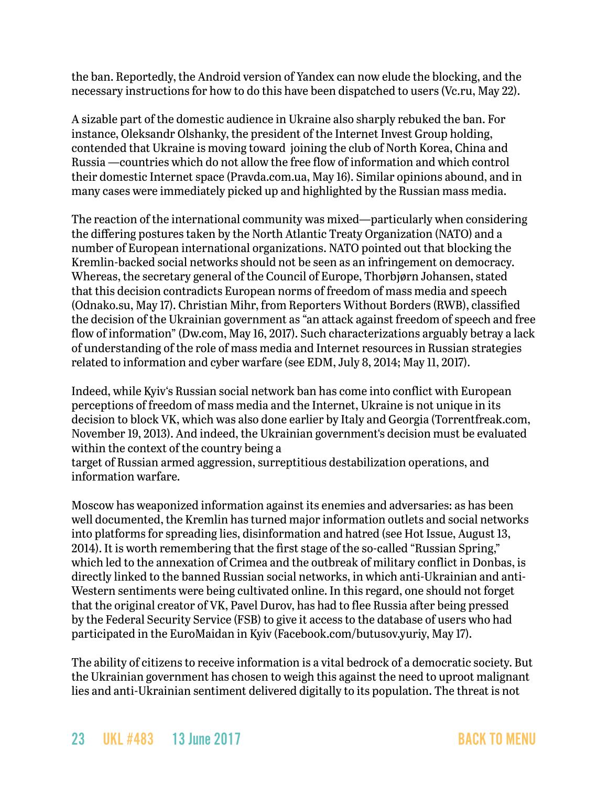the ban. Reportedly, the Android version of Yandex can now elude the blocking, and the necessary instructions for how to do this have been dispatched to users (Vc.ru, May 22).

A sizable part of the domestic audience in Ukraine also sharply rebuked the ban. For instance, Oleksandr Olshanky, the president of the Internet Invest Group holding, contended that Ukraine is moving toward joining the club of North Korea, China and Russia —countries which do not allow the free flow of information and which control their domestic Internet space (Pravda.com.ua, May 16). Similar opinions abound, and in many cases were immediately picked up and highlighted by the Russian mass media.

The reaction of the international community was mixed—particularly when considering the differing postures taken by the North Atlantic Treaty Organization (NATO) and a number of European international organizations. NATO pointed out that blocking the Kremlin-backed social networks should not be seen as an infringement on democracy. Whereas, the secretary general of the Council of Europe, Thorbjørn Johansen, stated that this decision contradicts European norms of freedom of mass media and speech (Odnako.su, May 17). Christian Mihr, from Reporters Without Borders (RWB), classified the decision of the Ukrainian government as "an attack against freedom of speech and free flow of information" (Dw.com, May 16, 2017). Such characterizations arguably betray a lack of understanding of the role of mass media and Internet resources in Russian strategies related to information and cyber warfare (see EDM, July 8, 2014; May 11, 2017).

Indeed, while Kyiv's Russian social network ban has come into conflict with European perceptions of freedom of mass media and the Internet, Ukraine is not unique in its decision to block VK, which was also done earlier by Italy and Georgia (Torrentfreak.com, November 19, 2013). And indeed, the Ukrainian government's decision must be evaluated within the context of the country being a

target of Russian armed aggression, surreptitious destabilization operations, and information warfare.

Moscow has weaponized information against its enemies and adversaries: as has been well documented, the Kremlin has turned major information outlets and social networks into platforms for spreading lies, disinformation and hatred (see Hot Issue, August 13, 2014). It is worth remembering that the first stage of the so-called "Russian Spring," which led to the annexation of Crimea and the outbreak of military conflict in Donbas, is directly linked to the banned Russian social networks, in which anti-Ukrainian and anti-Western sentiments were being cultivated online. In this regard, one should not forget that the original creator of VK, Pavel Durov, has had to flee Russia after being pressed by the Federal Security Service (FSB) to give it access to the database of users who had participated in the EuroMaidan in Kyiv (Facebook.com/butusov.yuriy, May 17).

The ability of citizens to receive information is a vital bedrock of a democratic society. But the Ukrainian government has chosen to weigh this against the need to uproot malignant lies and anti-Ukrainian sentiment delivered digitally to its population. The threat is not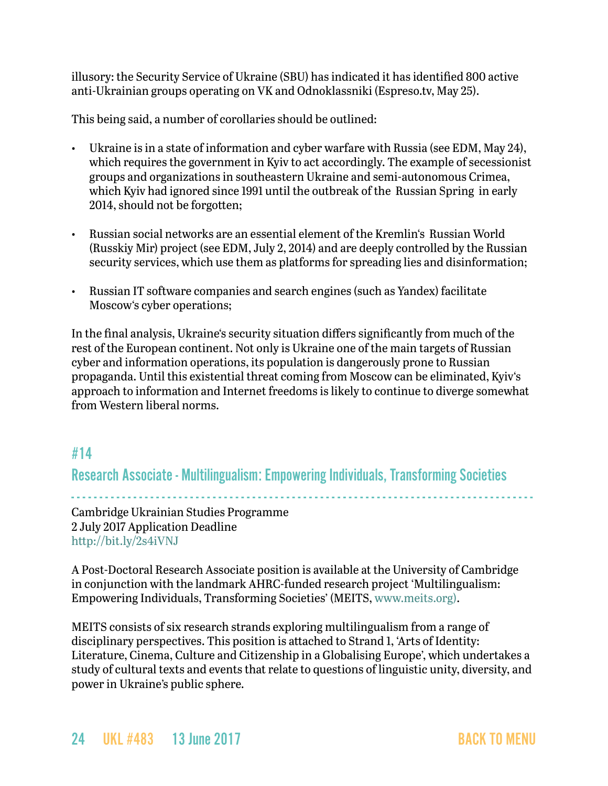illusory: the Security Service of Ukraine (SBU) has indicated it has identified 800 active anti-Ukrainian groups operating on VK and Odnoklassniki (Espreso.tv, May 25).

This being said, a number of corollaries should be outlined:

- Ukraine is in a state of information and cyber warfare with Russia (see EDM, May 24), which requires the government in Kyiv to act accordingly. The example of secessionist groups and organizations in southeastern Ukraine and semi-autonomous Crimea, which Kyiv had ignored since 1991 until the outbreak of the Russian Spring in early 2014, should not be forgotten;
- Russian social networks are an essential element of the Kremlin's Russian World (Russkiy Mir) project (see EDM, July 2, 2014) and are deeply controlled by the Russian security services, which use them as platforms for spreading lies and disinformation;
- Russian IT software companies and search engines (such as Yandex) facilitate Moscow's cyber operations;

In the final analysis, Ukraine's security situation differs significantly from much of the rest of the European continent. Not only is Ukraine one of the main targets of Russian cyber and information operations, its population is dangerously prone to Russian propaganda. Until this existential threat coming from Moscow can be eliminated, Kyiv's approach to information and Internet freedoms is likely to continue to diverge somewhat from Western liberal norms.

# <span id="page-23-0"></span>#14

Research Associate - Multilingualism: Empowering Individuals, Transforming Societies

- - - - - - - - - - - - - - - - - - - - - - - - - - - - - - - - - - - - - - - - - - - - - - - - - - - - - - - - - - - - - - - - - - - - - - - - - - - - - - - - - -

Cambridge Ukrainian Studies Programme 2 July 2017 Application Deadline <http://bit.ly/2s4iVNJ>

A Post-Doctoral Research Associate position is available at the University of Cambridge in conjunction with the landmark AHRC-funded research project 'Multilingualism: Empowering Individuals, Transforming Societies' (MEITS, [www.meits.org\)](http://www.meits.org)).

MEITS consists of six research strands exploring multilingualism from a range of disciplinary perspectives. This position is attached to Strand 1, 'Arts of Identity: Literature, Cinema, Culture and Citizenship in a Globalising Europe', which undertakes a study of cultural texts and events that relate to questions of linguistic unity, diversity, and power in Ukraine's public sphere.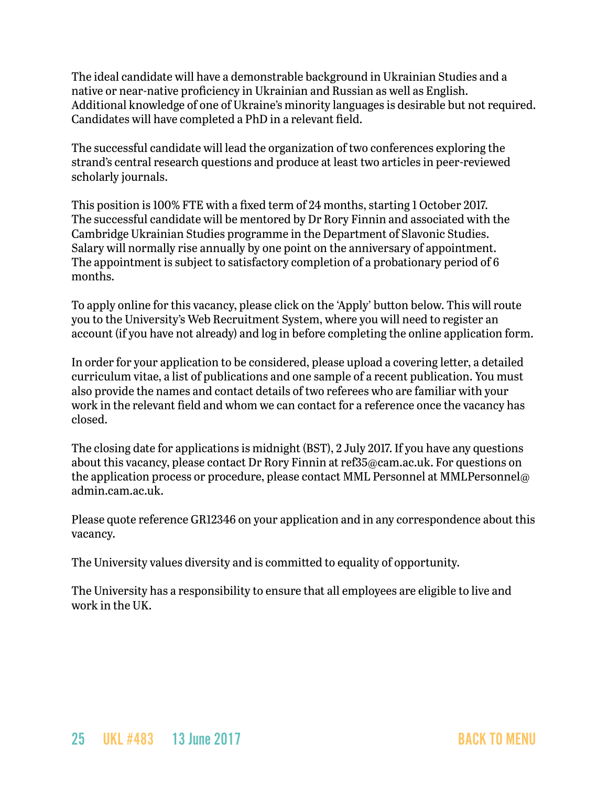The ideal candidate will have a demonstrable background in Ukrainian Studies and a native or near-native proficiency in Ukrainian and Russian as well as English. Additional knowledge of one of Ukraine's minority languages is desirable but not required. Candidates will have completed a PhD in a relevant field.

The successful candidate will lead the organization of two conferences exploring the strand's central research questions and produce at least two articles in peer-reviewed scholarly journals.

This position is 100% FTE with a fixed term of 24 months, starting 1 October 2017. The successful candidate will be mentored by Dr Rory Finnin and associated with the Cambridge Ukrainian Studies programme in the Department of Slavonic Studies. Salary will normally rise annually by one point on the anniversary of appointment. The appointment is subject to satisfactory completion of a probationary period of 6 months.

To apply online for this vacancy, please click on the 'Apply' button below. This will route you to the University's Web Recruitment System, where you will need to register an account (if you have not already) and log in before completing the online application form.

In order for your application to be considered, please upload a covering letter, a detailed curriculum vitae, a list of publications and one sample of a recent publication. You must also provide the names and contact details of two referees who are familiar with your work in the relevant field and whom we can contact for a reference once the vacancy has closed.

The closing date for applications is midnight (BST), 2 July 2017. If you have any questions about this vacancy, please contact Dr Rory Finnin at [ref35@cam.ac.uk.](mailto:ref35@cam.ac.uk) For questions on the application process or procedure, please contact MML Personnel at [MMLPersonnel@](mailto:MMLPersonnel@admin.cam.ac.uk) [admin.cam.ac.uk.](mailto:MMLPersonnel@admin.cam.ac.uk)

Please quote reference GR12346 on your application and in any correspondence about this vacancy.

The University values diversity and is committed to equality of opportunity.

The University has a responsibility to ensure that all employees are eligible to live and work in the UK.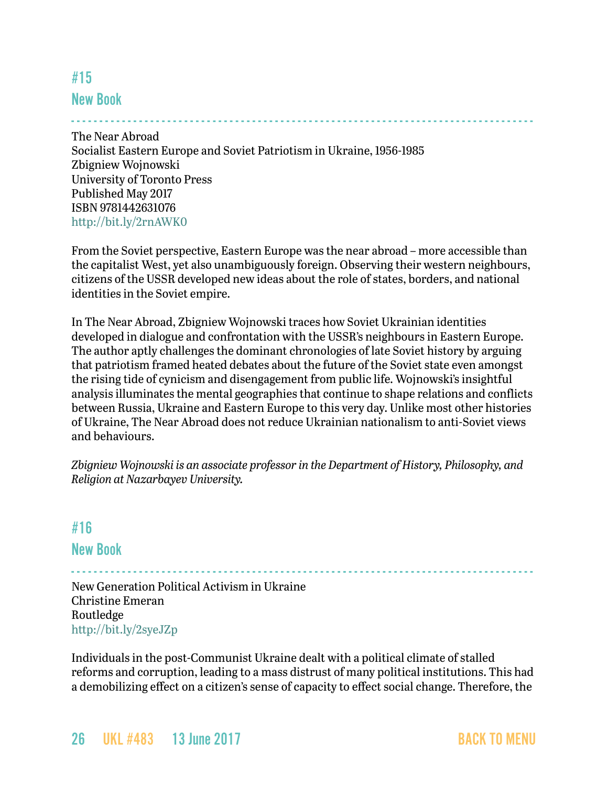<span id="page-25-0"></span>#15 New Book

- - - - - - - - - - - - - - - - - - - - - - - - - - - - - - - - - - - - - - - - - - - - - - - - - - - - - - - - - - - - - - - - - - - - - - - - - - - - - - - - - - The Near Abroad Socialist Eastern Europe and Soviet Patriotism in Ukraine, 1956-1985 Zbigniew Wojnowski University of Toronto Press Published May 2017 ISBN 9781442631076 <http://bit.ly/2rnAWK0>

From the Soviet perspective, Eastern Europe was the near abroad – more accessible than the capitalist West, yet also unambiguously foreign. Observing their western neighbours, citizens of the USSR developed new ideas about the role of states, borders, and national identities in the Soviet empire.

In The Near Abroad, Zbigniew Wojnowski traces how Soviet Ukrainian identities developed in dialogue and confrontation with the USSR's neighbours in Eastern Europe. The author aptly challenges the dominant chronologies of late Soviet history by arguing that patriotism framed heated debates about the future of the Soviet state even amongst the rising tide of cynicism and disengagement from public life. Wojnowski's insightful analysis illuminates the mental geographies that continue to shape relations and conflicts between Russia, Ukraine and Eastern Europe to this very day. Unlike most other histories of Ukraine, The Near Abroad does not reduce Ukrainian nationalism to anti-Soviet views and behaviours.

*Zbigniew Wojnowski is an associate professor in the Department of History, Philosophy, and Religion at Nazarbayev University.*

## <span id="page-25-1"></span>#16

New Book

- - - - - - - - - - - - - - - - - - - - - - - - - - - - - - - - - - - - - - - - - - - - - - - - - - - - - - - - - - - - - - - - - - - - - - - - - - - - - - - - - - New Generation Political Activism in Ukraine Christine Emeran Routledge <http://bit.ly/2syeJZp>

Individuals in the post-Communist Ukraine dealt with a political climate of stalled reforms and corruption, leading to a mass distrust of many political institutions. This had a demobilizing effect on a citizen's sense of capacity to effect social change. Therefore, the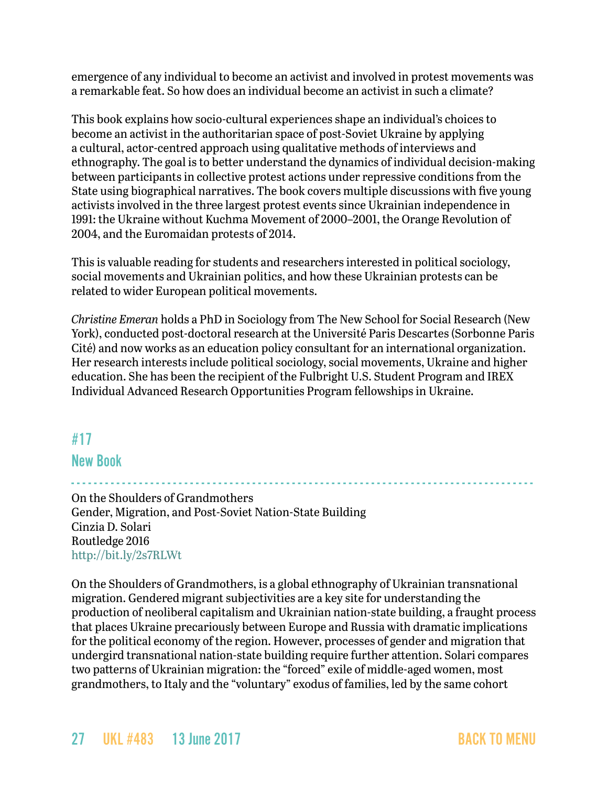emergence of any individual to become an activist and involved in protest movements was a remarkable feat. So how does an individual become an activist in such a climate?

This book explains how socio-cultural experiences shape an individual's choices to become an activist in the authoritarian space of post-Soviet Ukraine by applying a cultural, actor-centred approach using qualitative methods of interviews and ethnography. The goal is to better understand the dynamics of individual decision-making between participants in collective protest actions under repressive conditions from the State using biographical narratives. The book covers multiple discussions with five young activists involved in the three largest protest events since Ukrainian independence in 1991: the Ukraine without Kuchma Movement of 2000–2001, the Orange Revolution of 2004, and the Euromaidan protests of 2014.

This is valuable reading for students and researchers interested in political sociology, social movements and Ukrainian politics, and how these Ukrainian protests can be related to wider European political movements.

*Christine Emeran* holds a PhD in Sociology from The New School for Social Research (New York), conducted post-doctoral research at the Université Paris Descartes (Sorbonne Paris Cité) and now works as an education policy consultant for an international organization. Her research interests include political sociology, social movements, Ukraine and higher education. She has been the recipient of the Fulbright U.S. Student Program and IREX Individual Advanced Research Opportunities Program fellowships in Ukraine.

## <span id="page-26-0"></span>#17

## New Book

- - - - - - - - - - - - - - - - - - - - - - - - - - - - - - - - - - - - - - - - - - - - - - - - - - - - - - - - - - - - - - - - - - - - - - - - - - - - - - - - - -

On the Shoulders of Grandmothers Gender, Migration, and Post-Soviet Nation-State Building Cinzia D. Solari Routledge 2016 <http://bit.ly/2s7RLWt>

On the Shoulders of Grandmothers, is a global ethnography of Ukrainian transnational migration. Gendered migrant subjectivities are a key site for understanding the production of neoliberal capitalism and Ukrainian nation-state building, a fraught process that places Ukraine precariously between Europe and Russia with dramatic implications for the political economy of the region. However, processes of gender and migration that undergird transnational nation-state building require further attention. Solari compares two patterns of Ukrainian migration: the "forced" exile of middle-aged women, most grandmothers, to Italy and the "voluntary" exodus of families, led by the same cohort